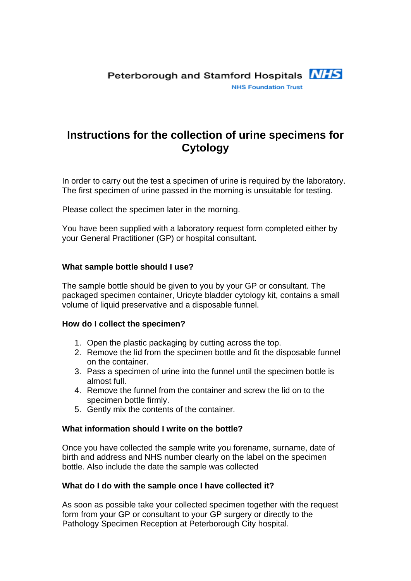# **Instructions for the collection of urine specimens for Cytology**

In order to carry out the test a specimen of urine is required by the laboratory. The first specimen of urine passed in the morning is unsuitable for testing.

Please collect the specimen later in the morning.

You have been supplied with a laboratory request form completed either by your General Practitioner (GP) or hospital consultant.

## **What sample bottle should I use?**

The sample bottle should be given to you by your GP or consultant. The packaged specimen container, Uricyte bladder cytology kit, contains a small volume of liquid preservative and a disposable funnel.

## **How do I collect the specimen?**

- 1. Open the plastic packaging by cutting across the top.
- 2. Remove the lid from the specimen bottle and fit the disposable funnel on the container.
- 3. Pass a specimen of urine into the funnel until the specimen bottle is almost full.
- 4. Remove the funnel from the container and screw the lid on to the specimen bottle firmly.
- 5. Gently mix the contents of the container.

#### **What information should I write on the bottle?**

Once you have collected the sample write you forename, surname, date of birth and address and NHS number clearly on the label on the specimen bottle. Also include the date the sample was collected

#### **What do I do with the sample once I have collected it?**

As soon as possible take your collected specimen together with the request form from your GP or consultant to your GP surgery or directly to the Pathology Specimen Reception at Peterborough City hospital.